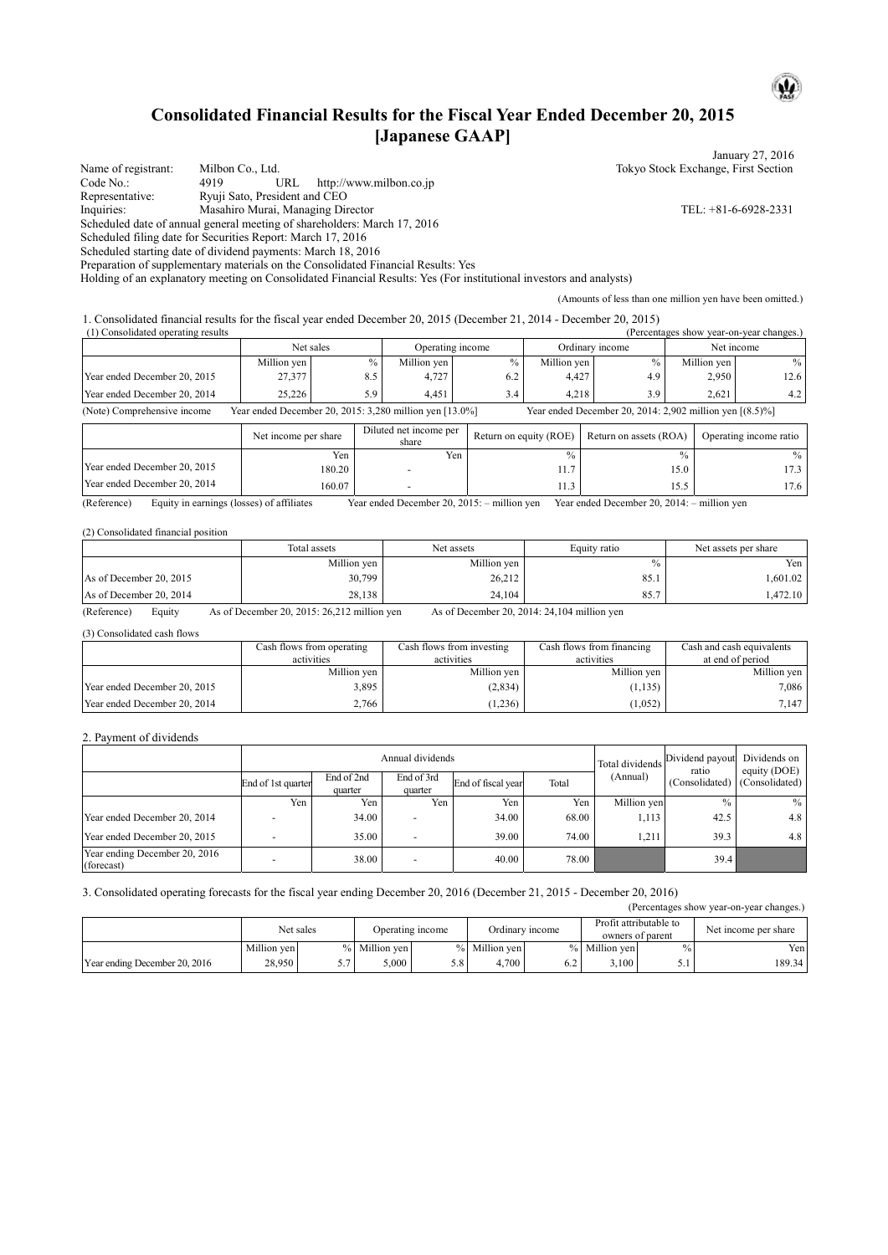## **Consolidated Financial Results for the Fiscal Year Ended December 20, 2015 [Japanese GAAP]**

January 27, 2016 Name of registrant: Milbon Co., Ltd. Tokyo Stock Exchange, First Section Code No.: 4919 URL http://www.milbon.co.jp<br>
Representative: Ryuji Sato, President and CEO Ryuji Sato, President and CEO Inquiries: Masahiro Murai, Managing Director TEL: +81-6-6928-2331 Scheduled date of annual general meeting of shareholders: March 17, 2016 Scheduled filing date for Securities Report: March 17, 2016 Scheduled starting date of dividend payments: March 18, 2016 Preparation of supplementary materials on the Consolidated Financial Results: Yes

Holding of an explanatory meeting on Consolidated Financial Results: Yes (For institutional investors and analysts)

(Amounts of less than one million yen have been omitted.)

1. Consolidated financial results for the fiscal year ended December 20, 2015 (December 21, 2014 - December 20, 2015)

| (1) Consolidated operating results |                                                         |           |             |                  |             |                                                             |             | (Percentages show year-on-year changes.) |
|------------------------------------|---------------------------------------------------------|-----------|-------------|------------------|-------------|-------------------------------------------------------------|-------------|------------------------------------------|
|                                    |                                                         | Net sales |             | Operating income |             | Ordinary income                                             |             | Net income                               |
|                                    | Million yen                                             | $\%$ .    | Million yen |                  | Million yen | $\%$ .                                                      | Million yen | $\frac{0}{0}$                            |
| Year ended December 20, 2015       | 27,377                                                  | 8.5       | 4,727       | 6.2              | 4.427       | 4.9                                                         | 2.950       | 12.6                                     |
| Year ended December 20, 2014       | 25.226                                                  | 5.9       | 4.451       | 3.4              | 4.218       | 3.9                                                         | 2.621       | 4.2                                      |
| (Note) Comprehensive income        | Year ended December 20, 2015: 3,280 million yen [13.0%] |           |             |                  |             | Year ended December 20, 2014: 2,902 million yen $[(8.5)\%]$ |             |                                          |

|                              | Net income per share | Diluted net income per<br>share | Return on equity (ROE) | Return on assets (ROA) | Operating income ratio |
|------------------------------|----------------------|---------------------------------|------------------------|------------------------|------------------------|
|                              | Yen                  | Yen                             | $\frac{0}{0}$          | $\frac{0}{0}$          | $\%$                   |
| Year ended December 20, 2015 | 180.20               |                                 | -<br>1.1               | 15.0                   | 17.3 I                 |
| Year ended December 20, 2014 | 160.07               |                                 | 11.J                   | 15.5                   | 17.6                   |

(Reference) Equity in earnings (losses) of affiliates Year ended December 20, 2015: – million yen Year ended December 20, 2014: – million yen

#### (2) Consolidated financial position

|                         | Total assets | Net assets  | Equity ratio | Net assets per share |
|-------------------------|--------------|-------------|--------------|----------------------|
|                         | Million yen  | Million yen |              | Yen                  |
| As of December 20, 2015 | 30,799       | 26,212      | 85.1         | .601.02              |
| As of December 20, 2014 | 28,138       | 24,104      | 85.7         | .472.10              |

(Reference) Equity As of December 20, 2015: 26,212 million yen As of December 20, 2014: 24,104 million yen

(3) Consolidated cash flows

|                              | Cash flows from operating | Cash flows from investing | Cash flows from financing | Cash and cash equivalents |
|------------------------------|---------------------------|---------------------------|---------------------------|---------------------------|
|                              | activities                | activities                | activities                | at end of period          |
|                              | Million ven               | Million ven               | Million yen               | Million ven               |
| Year ended December 20, 2015 | 3.895                     | (2, 834)                  | (1, 135)                  | 7.086                     |
| Year ended December 20, 2014 | 2.766                     | (1,236)                   | (1,052)                   | 7.147                     |

#### 2. Payment of dividends

|                                             |                    | Annual dividends<br>Total dividends |                          |                    |       |             | Dividend payout<br>ratio      | Dividends on<br>equity (DOE) |
|---------------------------------------------|--------------------|-------------------------------------|--------------------------|--------------------|-------|-------------|-------------------------------|------------------------------|
|                                             | End of 1st quarter | End of 2nd<br>quarter               | End of 3rd<br>quarter    | End of fiscal year | Total | (Annual)    | (Consolidated) (Consolidated) |                              |
|                                             | Yen                | Yen.                                | Yen                      | Yen                | Yen   | Million yen | $\frac{0}{0}$                 | $\frac{0}{0}$                |
| Year ended December 20, 2014                |                    | 34.00                               | $\overline{\phantom{0}}$ | 34.00              | 68.00 | 1,113       | 42.5                          | 4.8                          |
| Year ended December 20, 2015                |                    | 35.00                               | $\overline{\phantom{a}}$ | 39.00              | 74.00 | 1,211       | 39.3                          | 4.8                          |
| Year ending December 20, 2016<br>(forecast) |                    | 38.00                               | ۰                        | 40.00              | 78.00 |             | 39.4                          |                              |

#### 3. Consolidated operating forecasts for the fiscal year ending December 20, 2016 (December 21, 2015 - December 20, 2016)

| (Percentages show year-on-year changes.) |                                                                                                |               |             |     |               |                      |               |               |        |
|------------------------------------------|------------------------------------------------------------------------------------------------|---------------|-------------|-----|---------------|----------------------|---------------|---------------|--------|
|                                          | Profit attributable to<br>Net sales<br>Ordinary income<br>Operating income<br>owners of parent |               |             |     |               | Net income per share |               |               |        |
|                                          | Million ven                                                                                    | $\frac{0}{6}$ | Million ven |     | % Million yen |                      | % Million ven | $\frac{0}{0}$ | Yen    |
| Year ending December 20, 2016            | 28,950                                                                                         |               | 5.000       | 5.8 | 4.700         | 6.2                  | 3.100         | 5.1           | 189.34 |

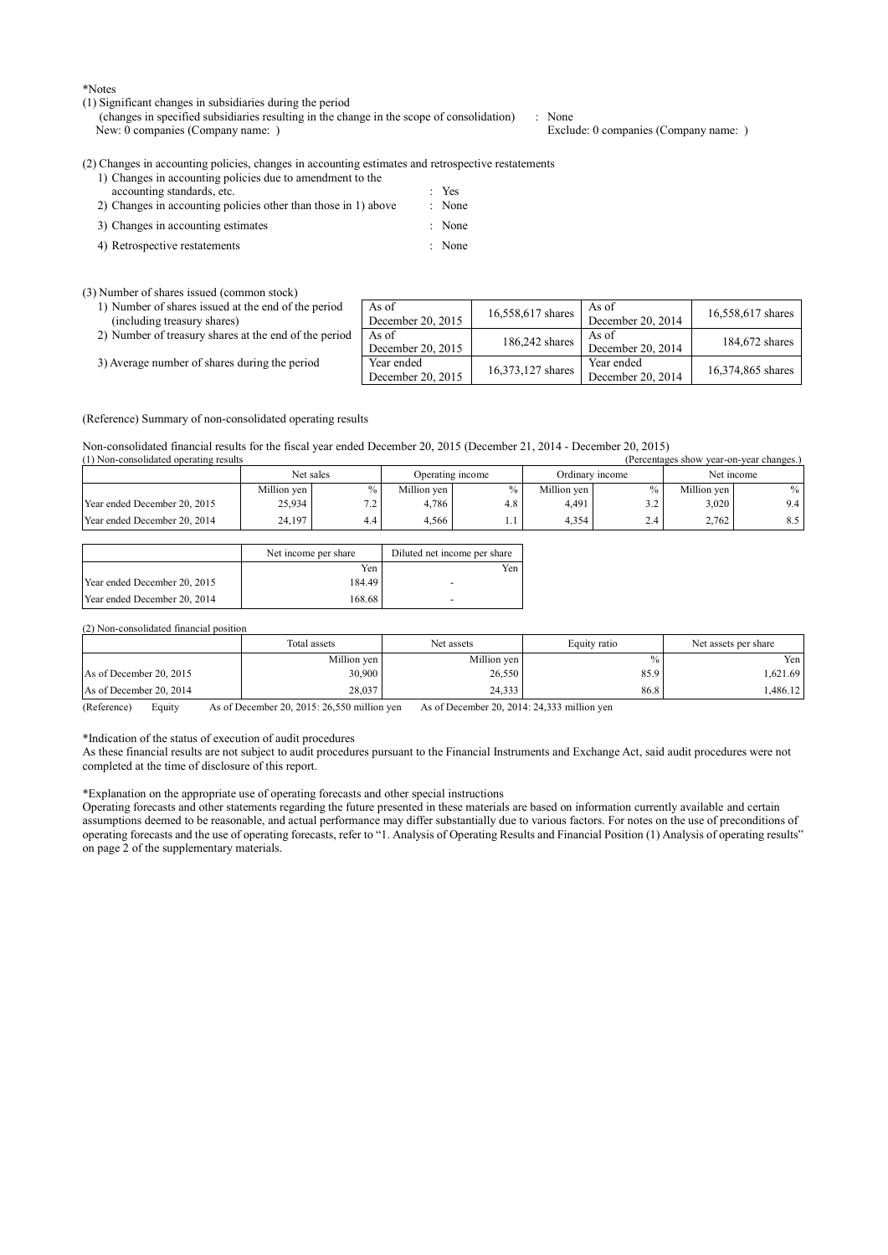\*Notes

#### (1) Significant changes in subsidiaries during the period

(changes in specified subsidiaries resulting in the change in the scope of consolidation) : None New: 0 companies (Company name: ) Exclude: 0 companies (Company name: )

(2) Changes in accounting policies, changes in accounting estimates and retrospective restatements

| 1) Changes in accounting policies due to amendment to the      |                   |
|----------------------------------------------------------------|-------------------|
| accounting standards, etc.                                     | $Y$ es            |
| 2) Changes in accounting policies other than those in 1) above | : None            |
| 3) Changes in accounting estimates                             | $\therefore$ None |
| 4) Retrospective restatements                                  | : None            |

#### (3) Number of shares issued (common stock)

1) Number of shares issued at the end of the period

(including treasury shares)

|  | 2) Number of treasury shares at the end of the period   As of |  |  |  |
|--|---------------------------------------------------------------|--|--|--|
|  |                                                               |  |  |  |

3) Average number of shares during the period

|    | As of<br>December 20, 2015      | 16,558,617 shares | As of<br>December 20, 2014      | 16,558,617 shares |
|----|---------------------------------|-------------------|---------------------------------|-------------------|
| эd | As of<br>December 20, 2015      | 186,242 shares    | As of<br>December 20, 2014      | 184,672 shares    |
|    | Year ended<br>December 20, 2015 | 16,373,127 shares | Year ended<br>December 20, 2014 | 16,374,865 shares |

(Reference) Summary of non-consolidated operating results

Non-consolidated financial results for the fiscal year ended December 20, 2015 (December 21, 2014 - December 20, 2015)

| (1) Non-consolidated operating results<br>(Percentages show year-on-year changes.) |             |             |                  |               |                 |            |             |        |
|------------------------------------------------------------------------------------|-------------|-------------|------------------|---------------|-----------------|------------|-------------|--------|
| Net sales                                                                          |             |             | Operating income |               | Ordinary income | Net income |             |        |
|                                                                                    | Million yen | $\%$        | Million ven      | $\frac{0}{0}$ | Million ven     |            | Million ven | $\%$ 1 |
| Year ended December 20, 2015                                                       | 25,934      | 72.<br>$-4$ | 4.786            | 4.8           | 4.491           | ے ۔        | 3.020       | 9.4 I  |
| Year ended December 20, 2014                                                       | 24.197      | 4.4         | 4.566            |               | 4.354           | 2.4        | 2.762       | 8.5 I  |

|                              | Net income per share | Diluted net income per share |
|------------------------------|----------------------|------------------------------|
|                              | Yen                  | Yen                          |
| Year ended December 20, 2015 | 184.49               | -                            |
| Year ended December 20, 2014 | 168.68               | -                            |

#### (2) Non-consolidated financial position

|                         | Total assets | Net assets  | Equity ratio | Net assets per share |
|-------------------------|--------------|-------------|--------------|----------------------|
|                         | Million ven  | Million ven | $\%$         | Yen i                |
| As of December 20, 2015 | 30,900       | 26,550      | 85.9         | 1.621.69             |
| As of December 20, 2014 | 28,037       | 24,333      | 86.8         | .486.12              |

(Reference) Equity As of December 20, 2015: 26,550 million yen As of December 20, 2014: 24,333 million yen

\*Indication of the status of execution of audit procedures

As these financial results are not subject to audit procedures pursuant to the Financial Instruments and Exchange Act, said audit procedures were not completed at the time of disclosure of this report.

\*Explanation on the appropriate use of operating forecasts and other special instructions

Operating forecasts and other statements regarding the future presented in these materials are based on information currently available and certain assumptions deemed to be reasonable, and actual performance may differ substantially due to various factors. For notes on the use of preconditions of operating forecasts and the use of operating forecasts, refer to "1. Analysis of Operating Results and Financial Position (1) Analysis of operating results" on page 2 of the supplementary materials.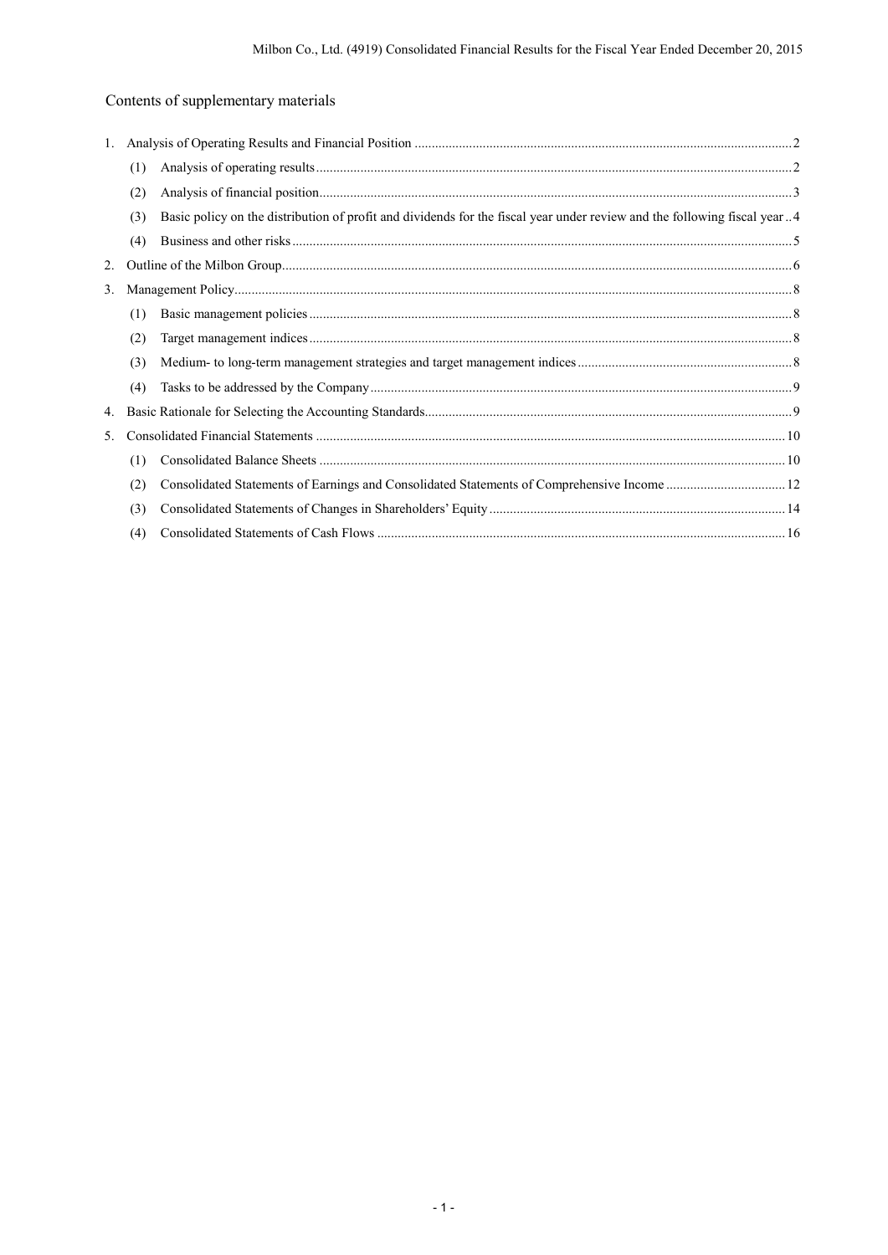# Contents of supplementary materials

| 1. |     |                                                                                                                           |  |
|----|-----|---------------------------------------------------------------------------------------------------------------------------|--|
|    | (1) |                                                                                                                           |  |
|    | (2) |                                                                                                                           |  |
|    | (3) | Basic policy on the distribution of profit and dividends for the fiscal year under review and the following fiscal year 4 |  |
|    | (4) |                                                                                                                           |  |
| 2. |     |                                                                                                                           |  |
| 3. |     |                                                                                                                           |  |
|    | (1) |                                                                                                                           |  |
|    | (2) |                                                                                                                           |  |
|    | (3) |                                                                                                                           |  |
|    | (4) |                                                                                                                           |  |
| 4. |     |                                                                                                                           |  |
| 5. |     |                                                                                                                           |  |
|    | (1) |                                                                                                                           |  |
|    | (2) |                                                                                                                           |  |
|    | (3) |                                                                                                                           |  |
|    | (4) |                                                                                                                           |  |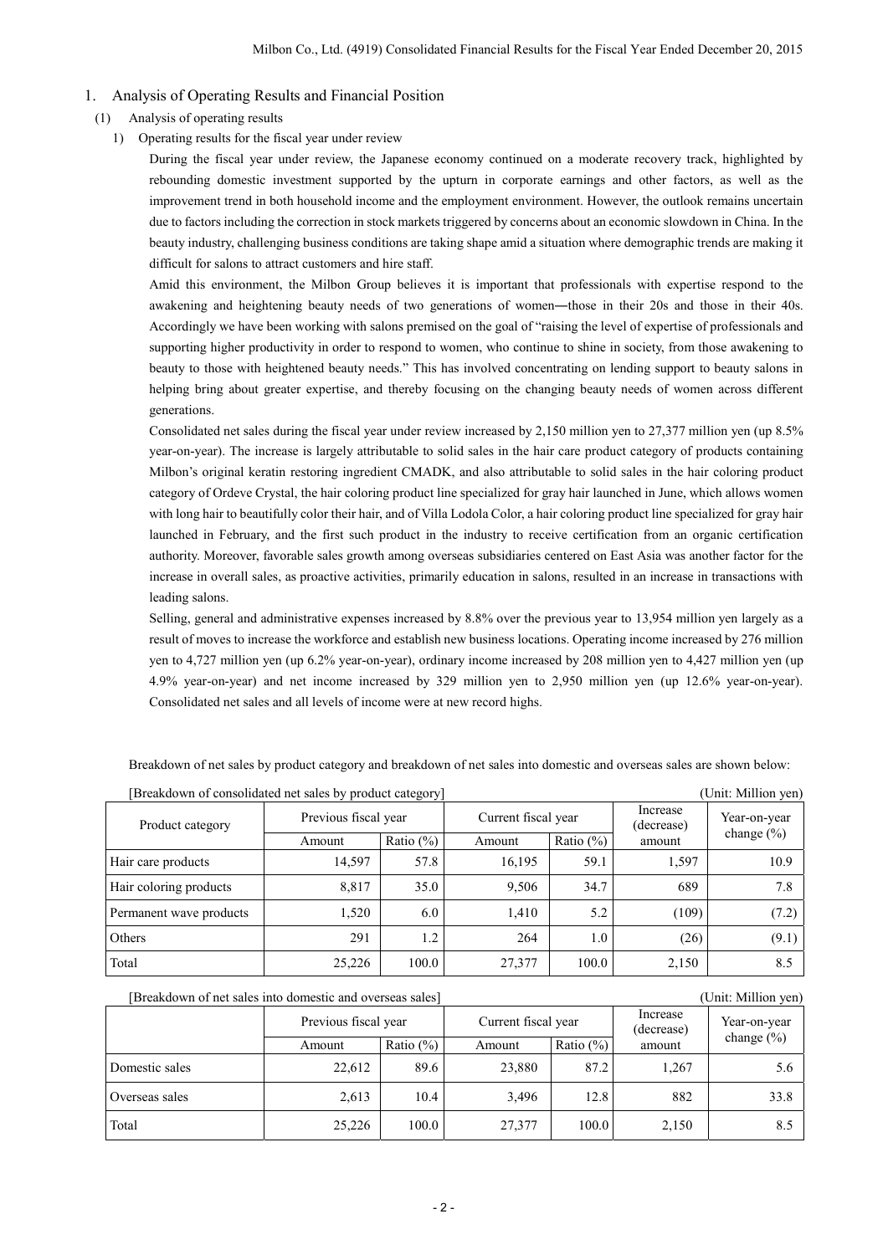### 1. Analysis of Operating Results and Financial Position

- (1) Analysis of operating results
	- 1) Operating results for the fiscal year under review

During the fiscal year under review, the Japanese economy continued on a moderate recovery track, highlighted by rebounding domestic investment supported by the upturn in corporate earnings and other factors, as well as the improvement trend in both household income and the employment environment. However, the outlook remains uncertain due to factors including the correction in stock markets triggered by concerns about an economic slowdown in China. In the beauty industry, challenging business conditions are taking shape amid a situation where demographic trends are making it difficult for salons to attract customers and hire staff.

Amid this environment, the Milbon Group believes it is important that professionals with expertise respond to the awakening and heightening beauty needs of two generations of women―those in their 20s and those in their 40s. Accordingly we have been working with salons premised on the goal of "raising the level of expertise of professionals and supporting higher productivity in order to respond to women, who continue to shine in society, from those awakening to beauty to those with heightened beauty needs." This has involved concentrating on lending support to beauty salons in helping bring about greater expertise, and thereby focusing on the changing beauty needs of women across different generations.

Consolidated net sales during the fiscal year under review increased by 2,150 million yen to 27,377 million yen (up 8.5% year-on-year). The increase is largely attributable to solid sales in the hair care product category of products containing Milbon's original keratin restoring ingredient CMADK, and also attributable to solid sales in the hair coloring product category of Ordeve Crystal, the hair coloring product line specialized for gray hair launched in June, which allows women with long hair to beautifully color their hair, and of Villa Lodola Color, a hair coloring product line specialized for gray hair launched in February, and the first such product in the industry to receive certification from an organic certification authority. Moreover, favorable sales growth among overseas subsidiaries centered on East Asia was another factor for the increase in overall sales, as proactive activities, primarily education in salons, resulted in an increase in transactions with leading salons.

Selling, general and administrative expenses increased by 8.8% over the previous year to 13,954 million yen largely as a result of moves to increase the workforce and establish new business locations. Operating income increased by 276 million yen to 4,727 million yen (up 6.2% year-on-year), ordinary income increased by 208 million yen to 4,427 million yen (up 4.9% year-on-year) and net income increased by 329 million yen to 2,950 million yen (up 12.6% year-on-year). Consolidated net sales and all levels of income were at new record highs.

| Breakdown of net sales by product category and breakdown of net sales into domestic and overseas sales are shown below: |  |
|-------------------------------------------------------------------------------------------------------------------------|--|
|                                                                                                                         |  |

| [Breakdown of consolidated net sales by product category] |                      |              |                     |               |                        | (Unit: Million yen) |
|-----------------------------------------------------------|----------------------|--------------|---------------------|---------------|------------------------|---------------------|
| Product category                                          | Previous fiscal year |              | Current fiscal year |               | Increase<br>(decrease) | Year-on-year        |
|                                                           | Amount               | Ratio $(\%)$ | Amount              | Ratio $(\% )$ | amount                 | change $(\% )$      |
| Hair care products                                        | 14,597               | 57.8         | 16,195              | 59.1          | 1,597                  | 10.9                |
| Hair coloring products                                    | 8,817                | 35.0         | 9,506               | 34.7          | 689                    | 7.8                 |
| Permanent wave products                                   | 1,520                | 6.0          | 1,410               | 5.2           | (109)                  | (7.2)               |
| Others                                                    | 291                  | 1.2          | 264                 | 1.0           | (26)                   | (9.1)               |
| Total                                                     | 25,226               | 100.0        | 27,377              | 100.0         | 2,150                  | 8.5                 |

| Breakdown of net sales into domestic and overseas sales]<br>(Unit: Million yen) |                      |              |                     |              |                        |                |
|---------------------------------------------------------------------------------|----------------------|--------------|---------------------|--------------|------------------------|----------------|
|                                                                                 | Previous fiscal year |              | Current fiscal year |              | Increase<br>(decrease) | Year-on-year   |
|                                                                                 | Amount               | Ratio $(\%)$ | Amount              | Ratio $(\%)$ | amount                 | change $(\% )$ |
| Domestic sales                                                                  | 22,612               | 89.6         | 23,880              | 87.2         | 1,267                  | 5.6            |
| Overseas sales                                                                  | 2,613                | 10.4         | 3.496               | 12.8         | 882                    | 33.8           |
| Total                                                                           | 25,226               | 100.0        | 27,377              | 100.0        | 2,150                  | 8.5            |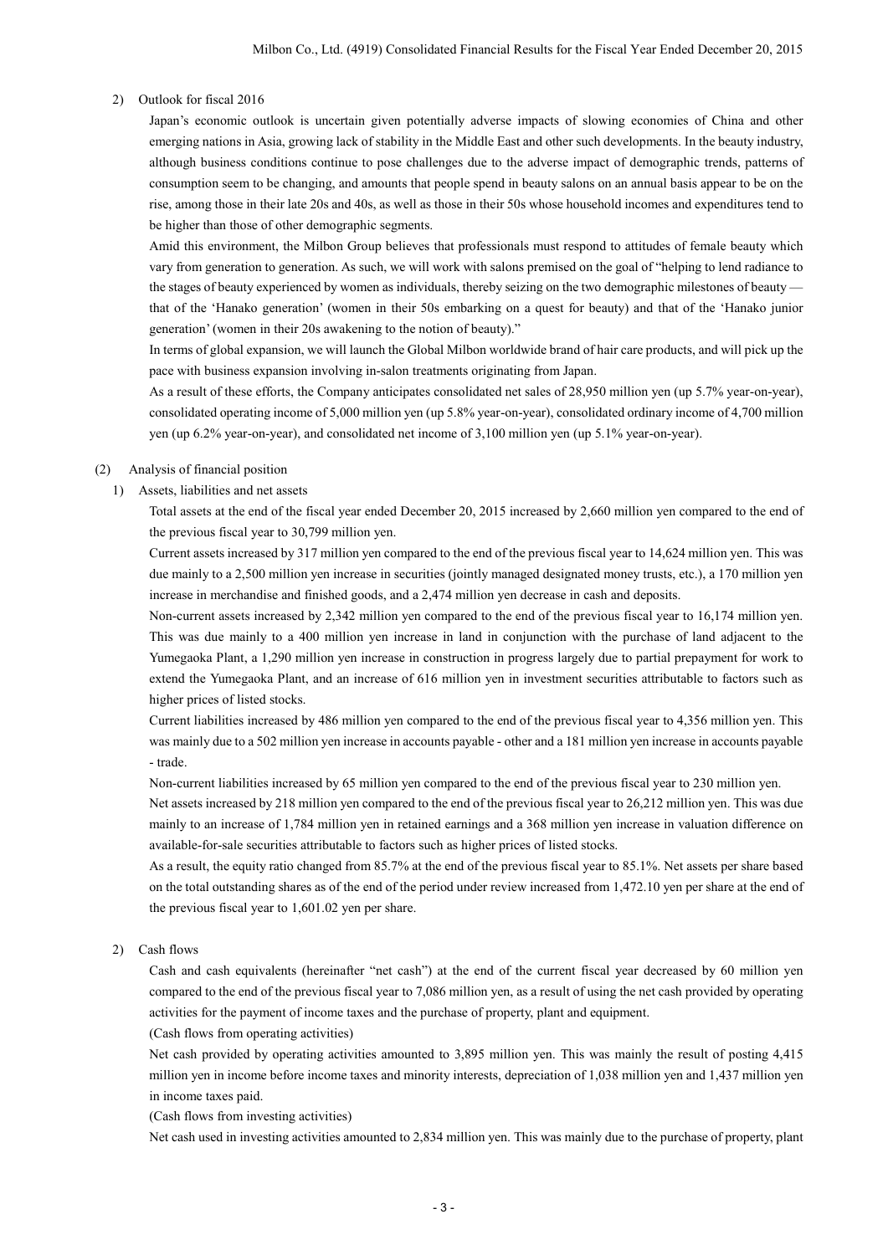#### 2) Outlook for fiscal 2016

Japan's economic outlook is uncertain given potentially adverse impacts of slowing economies of China and other emerging nations in Asia, growing lack of stability in the Middle East and other such developments. In the beauty industry, although business conditions continue to pose challenges due to the adverse impact of demographic trends, patterns of consumption seem to be changing, and amounts that people spend in beauty salons on an annual basis appear to be on the rise, among those in their late 20s and 40s, as well as those in their 50s whose household incomes and expenditures tend to be higher than those of other demographic segments.

Amid this environment, the Milbon Group believes that professionals must respond to attitudes of female beauty which vary from generation to generation. As such, we will work with salons premised on the goal of "helping to lend radiance to the stages of beauty experienced by women as individuals, thereby seizing on the two demographic milestones of beauty that of the 'Hanako generation' (women in their 50s embarking on a quest for beauty) and that of the 'Hanako junior generation' (women in their 20s awakening to the notion of beauty)."

In terms of global expansion, we will launch the Global Milbon worldwide brand of hair care products, and will pick up the pace with business expansion involving in-salon treatments originating from Japan.

As a result of these efforts, the Company anticipates consolidated net sales of 28,950 million yen (up 5.7% year-on-year), consolidated operating income of 5,000 million yen (up 5.8% year-on-year), consolidated ordinary income of 4,700 million yen (up 6.2% year-on-year), and consolidated net income of 3,100 million yen (up 5.1% year-on-year).

### (2) Analysis of financial position

1) Assets, liabilities and net assets

Total assets at the end of the fiscal year ended December 20, 2015 increased by 2,660 million yen compared to the end of the previous fiscal year to 30,799 million yen.

Current assets increased by 317 million yen compared to the end of the previous fiscal year to 14,624 million yen. This was due mainly to a 2,500 million yen increase in securities (jointly managed designated money trusts, etc.), a 170 million yen increase in merchandise and finished goods, and a 2,474 million yen decrease in cash and deposits.

Non-current assets increased by 2,342 million yen compared to the end of the previous fiscal year to 16,174 million yen. This was due mainly to a 400 million yen increase in land in conjunction with the purchase of land adjacent to the Yumegaoka Plant, a 1,290 million yen increase in construction in progress largely due to partial prepayment for work to extend the Yumegaoka Plant, and an increase of 616 million yen in investment securities attributable to factors such as higher prices of listed stocks.

Current liabilities increased by 486 million yen compared to the end of the previous fiscal year to 4,356 million yen. This was mainly due to a 502 million yen increase in accounts payable - other and a 181 million yen increase in accounts payable - trade.

Non-current liabilities increased by 65 million yen compared to the end of the previous fiscal year to 230 million yen.

Net assets increased by 218 million yen compared to the end of the previous fiscal year to 26,212 million yen. This was due mainly to an increase of 1,784 million yen in retained earnings and a 368 million yen increase in valuation difference on available-for-sale securities attributable to factors such as higher prices of listed stocks.

As a result, the equity ratio changed from 85.7% at the end of the previous fiscal year to 85.1%. Net assets per share based on the total outstanding shares as of the end of the period under review increased from 1,472.10 yen per share at the end of the previous fiscal year to 1,601.02 yen per share.

2) Cash flows

Cash and cash equivalents (hereinafter "net cash") at the end of the current fiscal year decreased by 60 million yen compared to the end of the previous fiscal year to 7,086 million yen, as a result of using the net cash provided by operating activities for the payment of income taxes and the purchase of property, plant and equipment.

(Cash flows from operating activities)

Net cash provided by operating activities amounted to 3,895 million yen. This was mainly the result of posting 4,415 million yen in income before income taxes and minority interests, depreciation of 1,038 million yen and 1,437 million yen in income taxes paid.

(Cash flows from investing activities)

Net cash used in investing activities amounted to 2,834 million yen. This was mainly due to the purchase of property, plant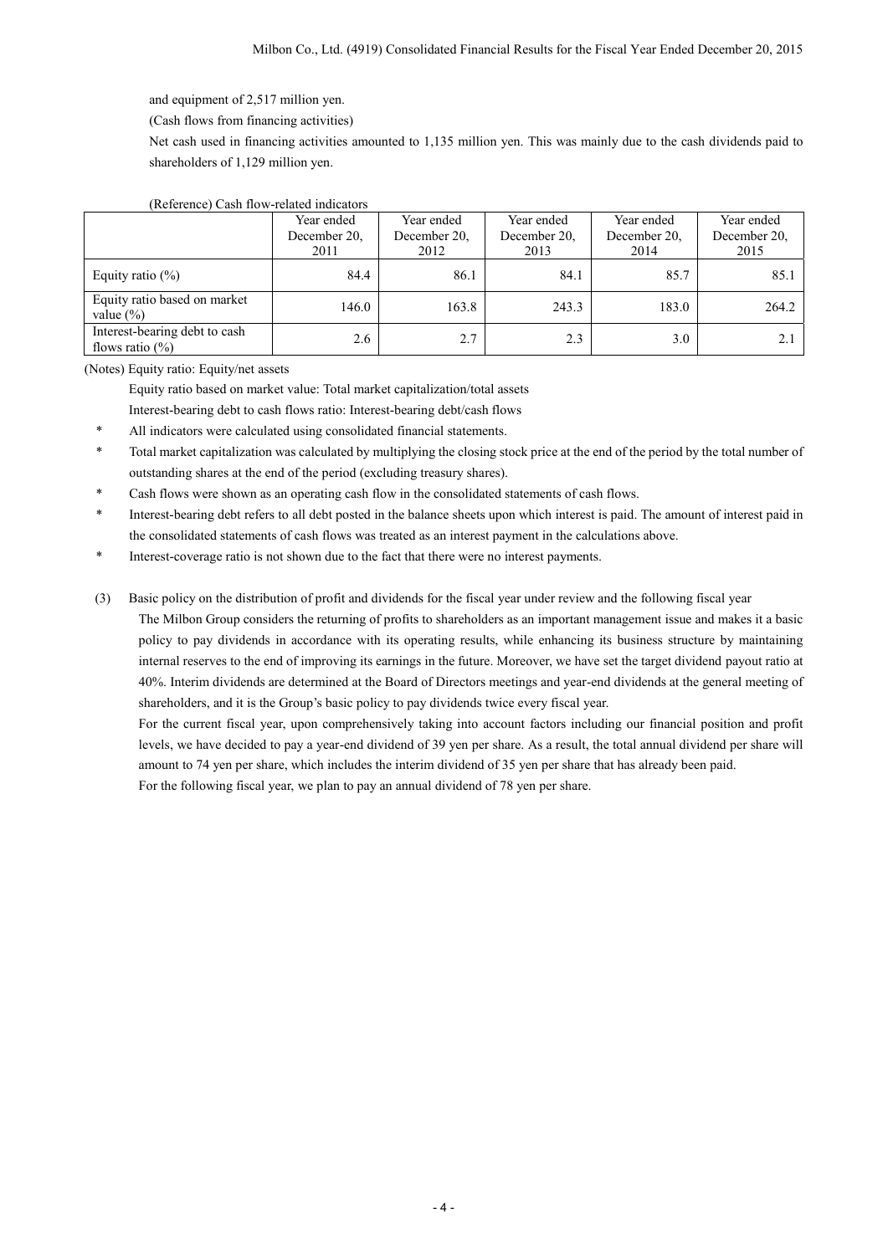and equipment of 2,517 million yen.

(Cash flows from financing activities)

Net cash used in financing activities amounted to 1,135 million yen. This was mainly due to the cash dividends paid to shareholders of 1,129 million yen.

### (Reference) Cash flow-related indicators

|                                                     | Year ended<br>December 20.<br>2011 | Year ended<br>December 20.<br>2012 | Year ended<br>December 20.<br>2013 | Year ended<br>December 20.<br>2014 | Year ended<br>December 20,<br>2015 |
|-----------------------------------------------------|------------------------------------|------------------------------------|------------------------------------|------------------------------------|------------------------------------|
| Equity ratio $(\%)$                                 | 84.4                               | 86.1                               | 84.1                               | 85.7                               | 85.1                               |
| Equity ratio based on market<br>value $(\% )$       | 146.0                              | 163.8                              | 243.3                              | 183.0                              | 264.2                              |
| Interest-bearing debt to cash<br>flows ratio $(\%)$ | 2.6                                | 2.7                                | 2.3                                | 3.0                                | 2.1                                |

(Notes) Equity ratio: Equity/net assets

Equity ratio based on market value: Total market capitalization/total assets

Interest-bearing debt to cash flows ratio: Interest-bearing debt/cash flows

- \* All indicators were calculated using consolidated financial statements.
- \* Total market capitalization was calculated by multiplying the closing stock price at the end of the period by the total number of outstanding shares at the end of the period (excluding treasury shares).
- Cash flows were shown as an operating cash flow in the consolidated statements of cash flows.
- \* Interest-bearing debt refers to all debt posted in the balance sheets upon which interest is paid. The amount of interest paid in the consolidated statements of cash flows was treated as an interest payment in the calculations above.
- Interest-coverage ratio is not shown due to the fact that there were no interest payments.

(3) Basic policy on the distribution of profit and dividends for the fiscal year under review and the following fiscal year

The Milbon Group considers the returning of profits to shareholders as an important management issue and makes it a basic policy to pay dividends in accordance with its operating results, while enhancing its business structure by maintaining internal reserves to the end of improving its earnings in the future. Moreover, we have set the target dividend payout ratio at 40%. Interim dividends are determined at the Board of Directors meetings and year-end dividends at the general meeting of shareholders, and it is the Group's basic policy to pay dividends twice every fiscal year.

For the current fiscal year, upon comprehensively taking into account factors including our financial position and profit levels, we have decided to pay a year-end dividend of 39 yen per share. As a result, the total annual dividend per share will amount to 74 yen per share, which includes the interim dividend of 35 yen per share that has already been paid.

For the following fiscal year, we plan to pay an annual dividend of 78 yen per share.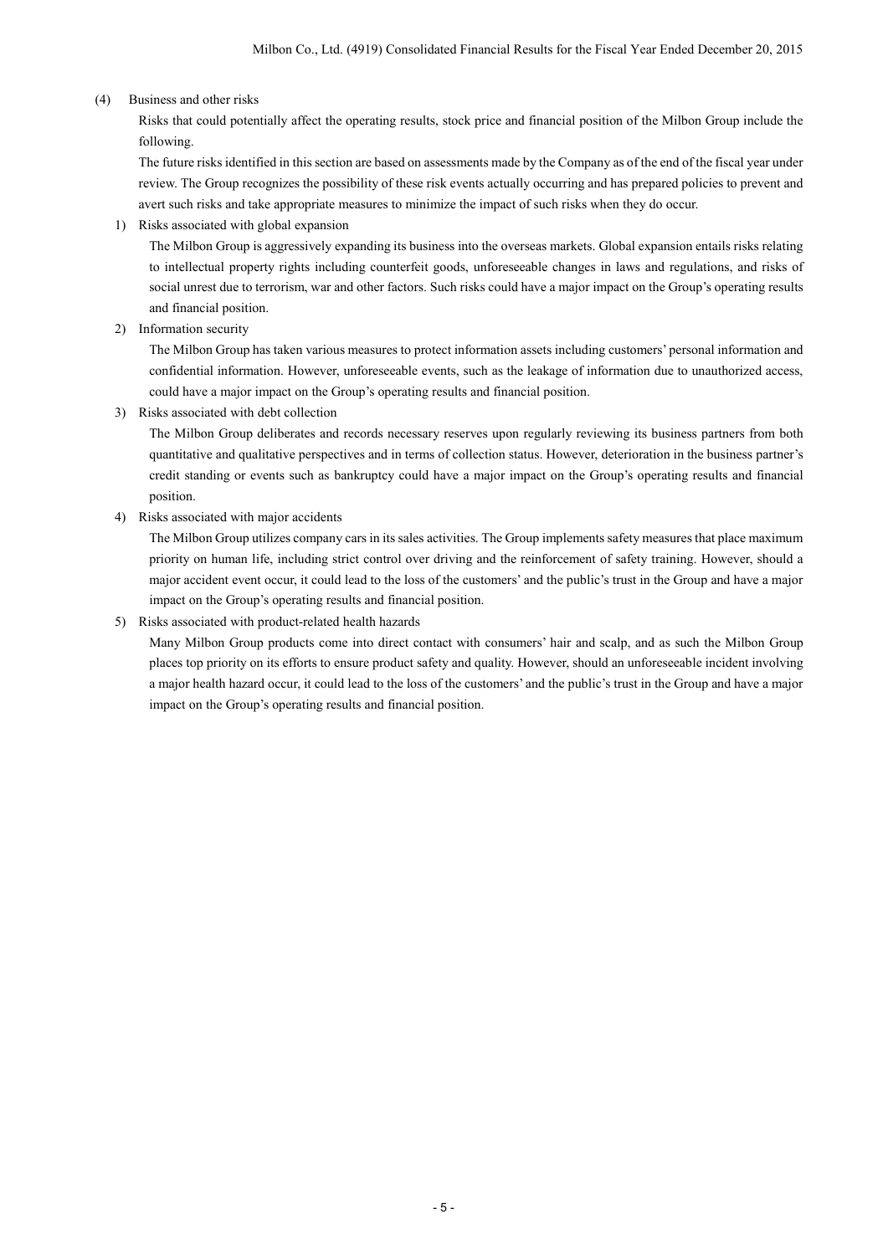### (4) Business and other risks

Risks that could potentially affect the operating results, stock price and financial position of the Milbon Group include the following.

The future risks identified in this section are based on assessments made by the Company as of the end of the fiscal year under review. The Group recognizes the possibility of these risk events actually occurring and has prepared policies to prevent and avert such risks and take appropriate measures to minimize the impact of such risks when they do occur.

1) Risks associated with global expansion

The Milbon Group is aggressively expanding its business into the overseas markets. Global expansion entails risks relating to intellectual property rights including counterfeit goods, unforeseeable changes in laws and regulations, and risks of social unrest due to terrorism, war and other factors. Such risks could have a major impact on the Group's operating results and financial position.

2) Information security

The Milbon Group has taken various measures to protect information assets including customers' personal information and confidential information. However, unforeseeable events, such as the leakage of information due to unauthorized access, could have a major impact on the Group's operating results and financial position.

3) Risks associated with debt collection

The Milbon Group deliberates and records necessary reserves upon regularly reviewing its business partners from both quantitative and qualitative perspectives and in terms of collection status. However, deterioration in the business partner's credit standing or events such as bankruptcy could have a major impact on the Group's operating results and financial position.

4) Risks associated with major accidents

The Milbon Group utilizes company cars in its sales activities. The Group implements safety measures that place maximum priority on human life, including strict control over driving and the reinforcement of safety training. However, should a major accident event occur, it could lead to the loss of the customers' and the public's trust in the Group and have a major impact on the Group's operating results and financial position.

## 5) Risks associated with product-related health hazards

Many Milbon Group products come into direct contact with consumers' hair and scalp, and as such the Milbon Group places top priority on its efforts to ensure product safety and quality. However, should an unforeseeable incident involving a major health hazard occur, it could lead to the loss of the customers' and the public's trust in the Group and have a major impact on the Group's operating results and financial position.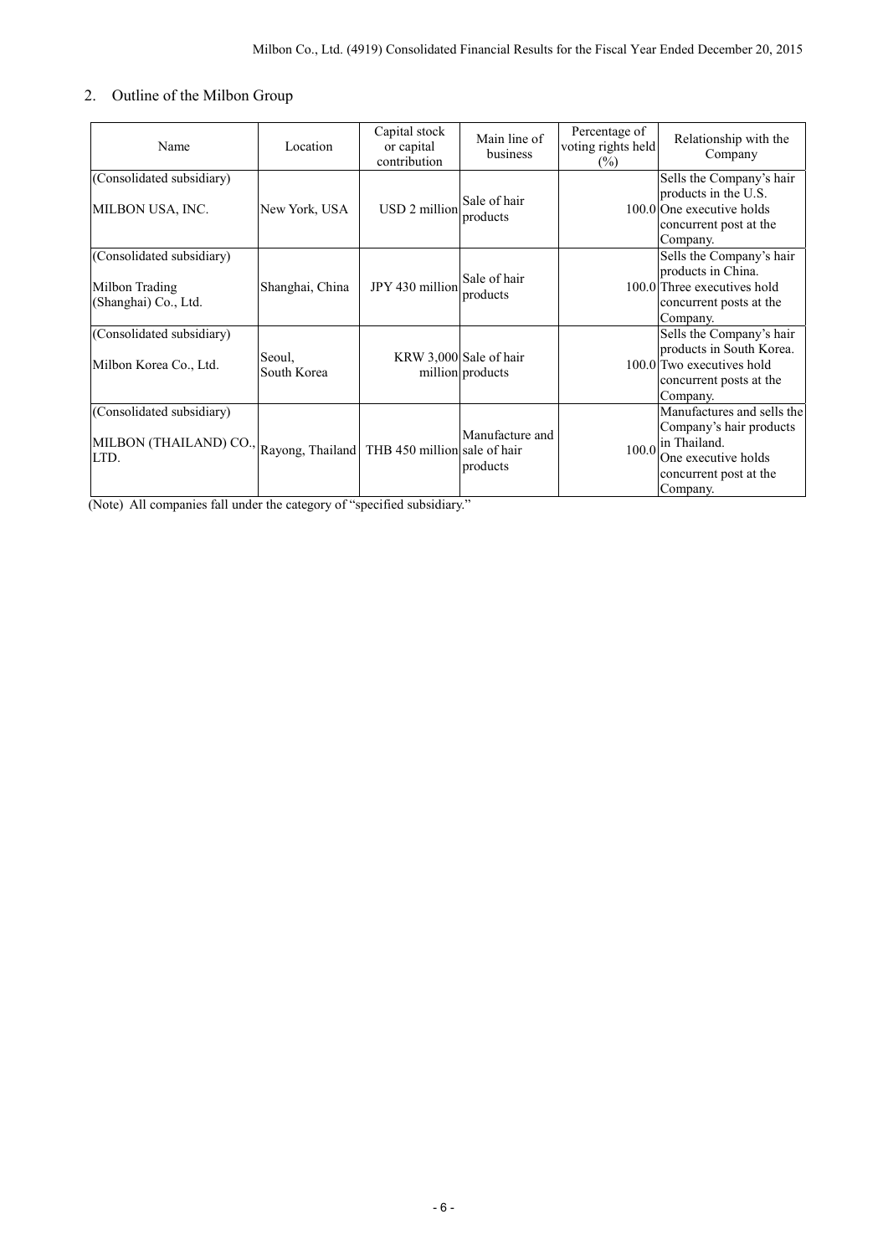## 2. Outline of the Milbon Group

| Name                                                                                              | Location              | Capital stock<br>or capital<br>contribution | Main line of<br>business                   | Percentage of<br>voting rights held<br>$(\%)$ | Relationship with the<br>Company                                                                                                   |
|---------------------------------------------------------------------------------------------------|-----------------------|---------------------------------------------|--------------------------------------------|-----------------------------------------------|------------------------------------------------------------------------------------------------------------------------------------|
| (Consolidated subsidiary)<br>MILBON USA, INC.                                                     | New York, USA         | USD 2 million                               | Sale of hair<br>products                   |                                               | Sells the Company's hair<br>products in the U.S.<br>100.0 One executive holds<br>concurrent post at the<br>Company.                |
| (Consolidated subsidiary)<br>Milbon Trading<br>(Shanghai) Co., Ltd.                               | Shanghai, China       | JPY 430 million                             | Sale of hair<br>products                   |                                               | Sells the Company's hair<br>products in China.<br>100.0 Three executives hold<br>concurrent posts at the<br>Company.               |
| (Consolidated subsidiary)<br>Milbon Korea Co., Ltd.                                               | Seoul,<br>South Korea |                                             | KRW 3,000 Sale of hair<br>million products |                                               | Sells the Company's hair<br>products in South Korea.<br>100.0 Two executives hold<br>concurrent posts at the<br>Company.           |
| (Consolidated subsidiary)<br>MILBON (THAILAND) CO., Rayong, Thailand THB 450 million sale of hair |                       |                                             | Manufacture and<br>products                | 100.0                                         | Manufactures and sells the<br>Company's hair products<br>in Thailand.<br>One executive holds<br>concurrent post at the<br>Company. |

(Note) All companies fall under the category of "specified subsidiary."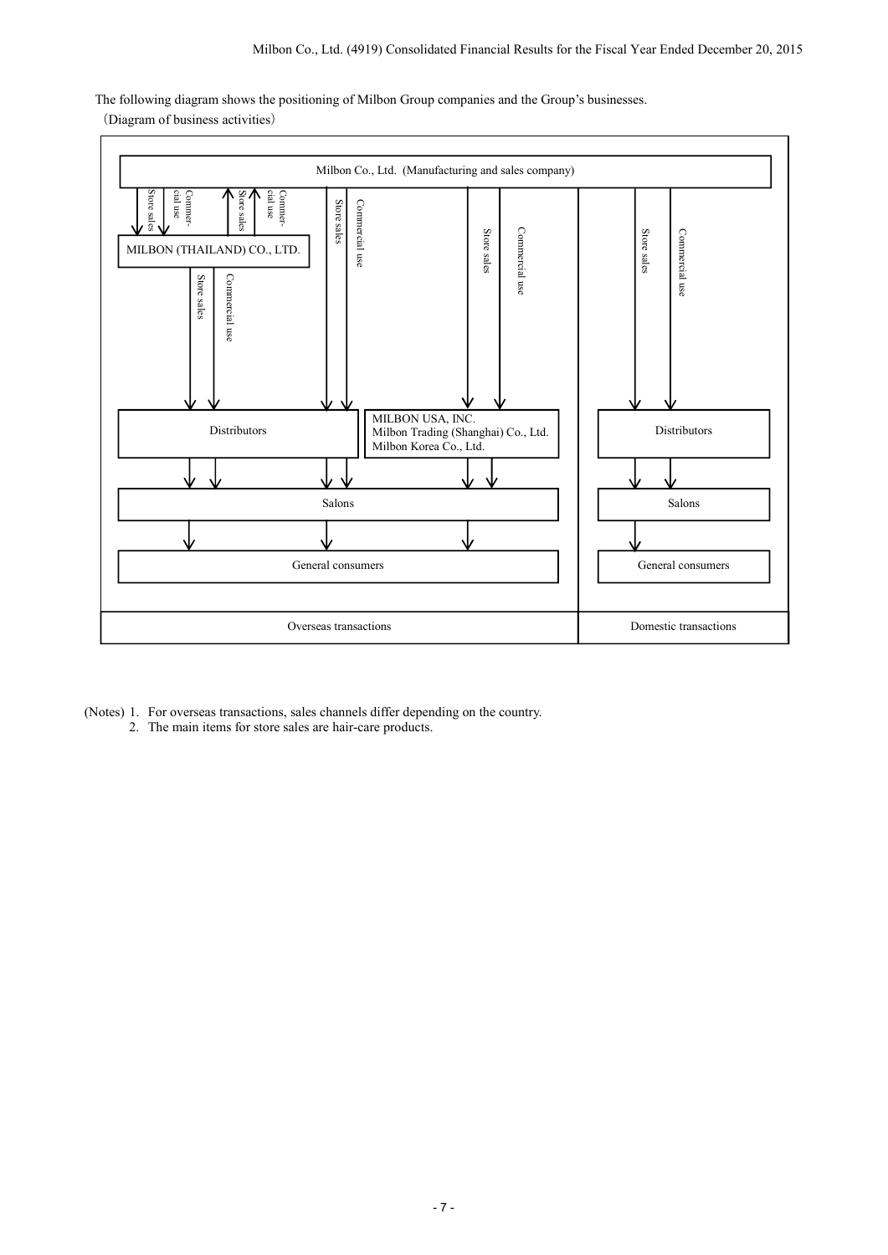The following diagram shows the positioning of Milbon Group companies and the Group's businesses.

(Diagram of business activities)



- (Notes) 1. For overseas transactions, sales channels differ depending on the country.
	- 2. The main items for store sales are hair-care products.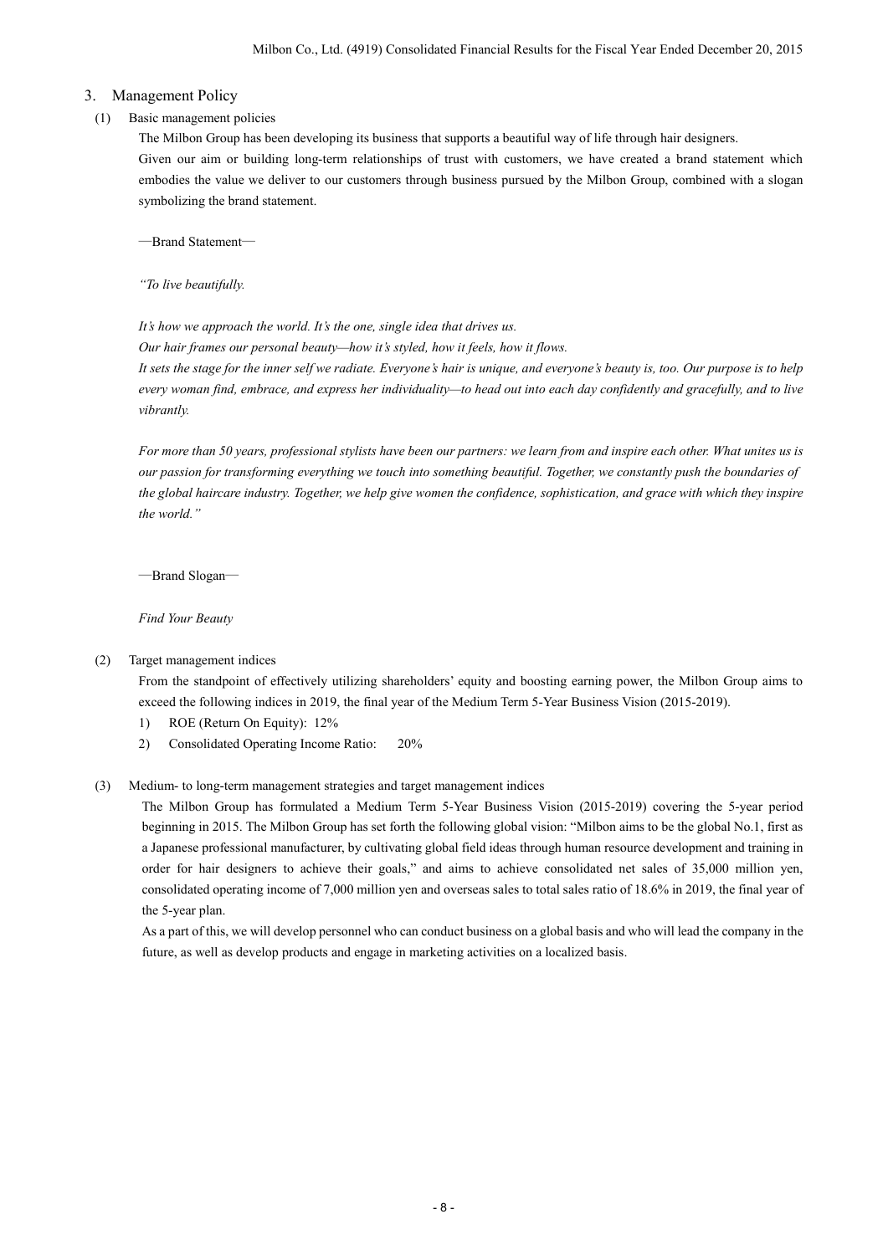### 3. Management Policy

#### (1) Basic management policies

The Milbon Group has been developing its business that supports a beautiful way of life through hair designers. Given our aim or building long-term relationships of trust with customers, we have created a brand statement which embodies the value we deliver to our customers through business pursued by the Milbon Group, combined with a slogan symbolizing the brand statement.

―Brand Statement―

*"To live beautifully.* 

*It's how we approach the world. It's the one, single idea that drives us.* 

*Our hair frames our personal beauty—how it's styled, how it feels, how it flows.* 

*It sets the stage for the inner self we radiate. Everyone's hair is unique, and everyone's beauty is, too. Our purpose is to help every woman find, embrace, and express her individuality—to head out into each day confidently and gracefully, and to live vibrantly.* 

*For more than 50 years, professional stylists have been our partners: we learn from and inspire each other. What unites us is our passion for transforming everything we touch into something beautiful. Together, we constantly push the boundaries of the global haircare industry. Together, we help give women the confidence, sophistication, and grace with which they inspire the world."* 

―Brand Slogan―

*Find Your Beauty* 

(2) Target management indices

 From the standpoint of effectively utilizing shareholders' equity and boosting earning power, the Milbon Group aims to exceed the following indices in 2019, the final year of the Medium Term 5-Year Business Vision (2015-2019).

- 1) ROE (Return On Equity): 12%
- 2) Consolidated Operating Income Ratio: 20%

#### (3) Medium- to long-term management strategies and target management indices

 The Milbon Group has formulated a Medium Term 5-Year Business Vision (2015-2019) covering the 5-year period beginning in 2015. The Milbon Group has set forth the following global vision: "Milbon aims to be the global No.1, first as a Japanese professional manufacturer, by cultivating global field ideas through human resource development and training in order for hair designers to achieve their goals," and aims to achieve consolidated net sales of 35,000 million yen, consolidated operating income of 7,000 million yen and overseas sales to total sales ratio of 18.6% in 2019, the final year of the 5-year plan.

As a part of this, we will develop personnel who can conduct business on a global basis and who will lead the company in the future, as well as develop products and engage in marketing activities on a localized basis.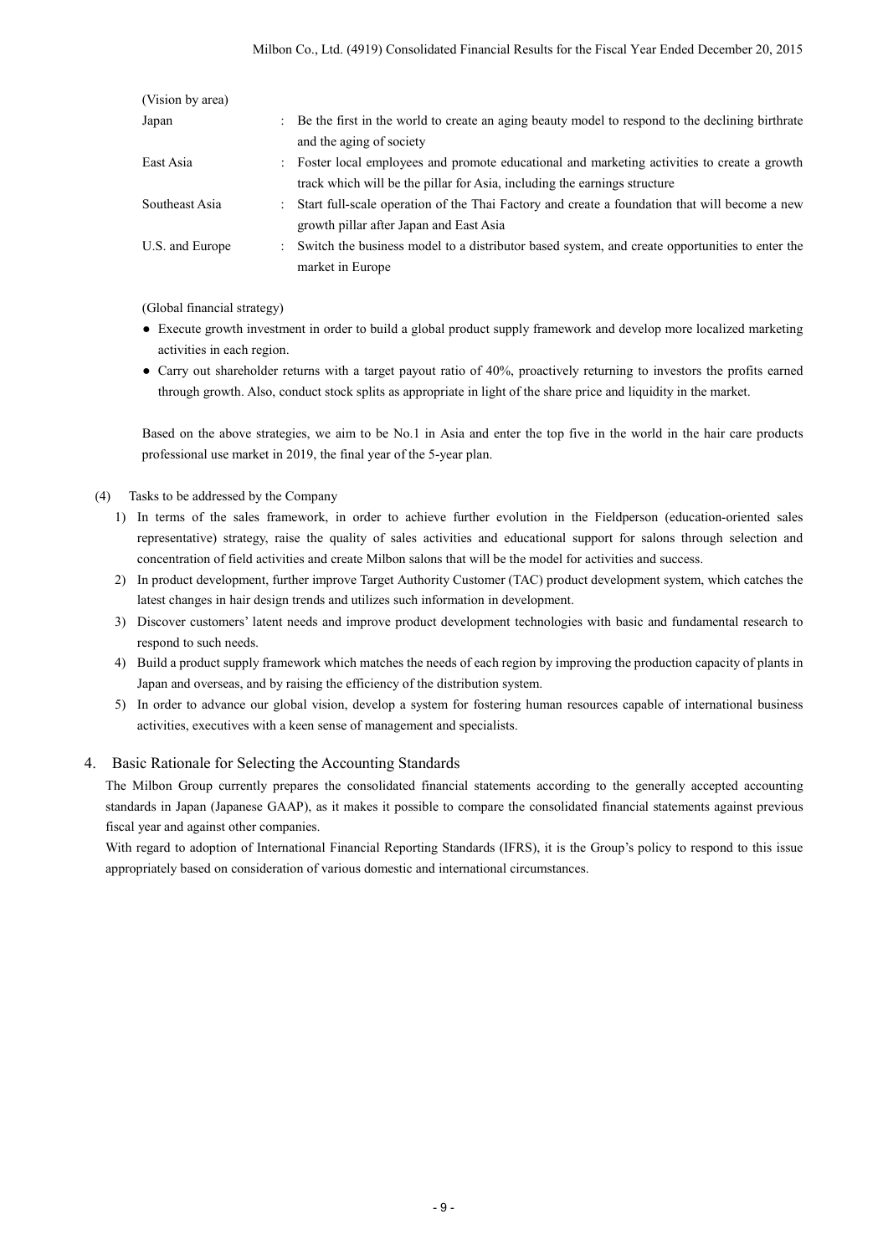| (Vision by area) |                                                                                                   |
|------------------|---------------------------------------------------------------------------------------------------|
| Japan            | : Be the first in the world to create an aging beauty model to respond to the declining birthrate |
|                  | and the aging of society                                                                          |
| East Asia        | : Foster local employees and promote educational and marketing activities to create a growth      |
|                  | track which will be the pillar for Asia, including the earnings structure                         |
| Southeast Asia   | : Start full-scale operation of the Thai Factory and create a foundation that will become a new   |
|                  | growth pillar after Japan and East Asia                                                           |
| U.S. and Europe  | : Switch the business model to a distributor based system, and create opportunities to enter the  |
|                  | market in Europe                                                                                  |

(Global financial strategy)

- Execute growth investment in order to build a global product supply framework and develop more localized marketing activities in each region.
- Carry out shareholder returns with a target payout ratio of 40%, proactively returning to investors the profits earned through growth. Also, conduct stock splits as appropriate in light of the share price and liquidity in the market.

Based on the above strategies, we aim to be No.1 in Asia and enter the top five in the world in the hair care products professional use market in 2019, the final year of the 5-year plan.

- (4) Tasks to be addressed by the Company
	- 1) In terms of the sales framework, in order to achieve further evolution in the Fieldperson (education-oriented sales representative) strategy, raise the quality of sales activities and educational support for salons through selection and concentration of field activities and create Milbon salons that will be the model for activities and success.
	- 2) In product development, further improve Target Authority Customer (TAC) product development system, which catches the latest changes in hair design trends and utilizes such information in development.
	- 3) Discover customers' latent needs and improve product development technologies with basic and fundamental research to respond to such needs.
	- 4) Build a product supply framework which matches the needs of each region by improving the production capacity of plants in Japan and overseas, and by raising the efficiency of the distribution system.
	- 5) In order to advance our global vision, develop a system for fostering human resources capable of international business activities, executives with a keen sense of management and specialists.

### 4. Basic Rationale for Selecting the Accounting Standards

The Milbon Group currently prepares the consolidated financial statements according to the generally accepted accounting standards in Japan (Japanese GAAP), as it makes it possible to compare the consolidated financial statements against previous fiscal year and against other companies.

With regard to adoption of International Financial Reporting Standards (IFRS), it is the Group's policy to respond to this issue appropriately based on consideration of various domestic and international circumstances.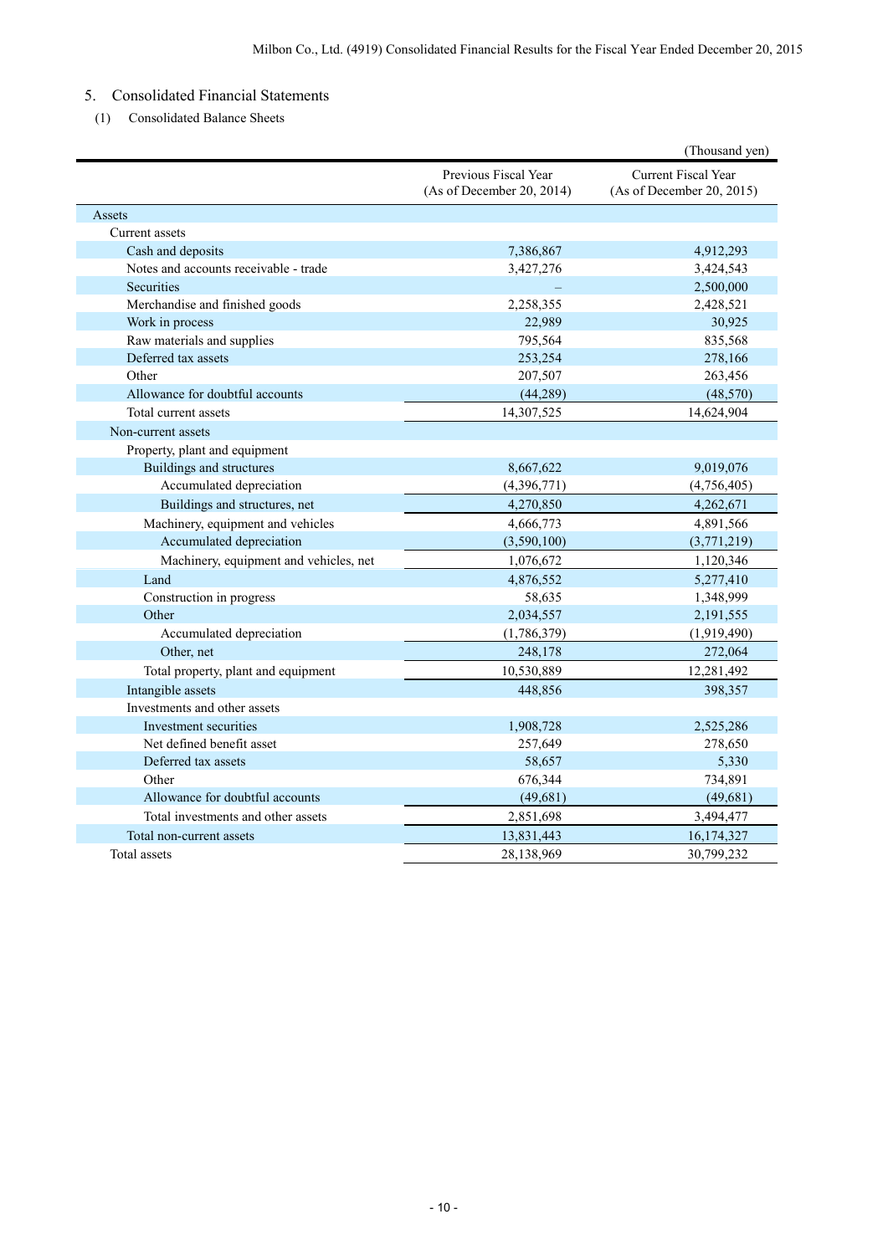## 5. Consolidated Financial Statements

(1) Consolidated Balance Sheets

|                                        |                                                   | (Thousand yen)                                          |
|----------------------------------------|---------------------------------------------------|---------------------------------------------------------|
|                                        | Previous Fiscal Year<br>(As of December 20, 2014) | <b>Current Fiscal Year</b><br>(As of December 20, 2015) |
| Assets                                 |                                                   |                                                         |
| Current assets                         |                                                   |                                                         |
| Cash and deposits                      | 7,386,867                                         | 4,912,293                                               |
| Notes and accounts receivable - trade  | 3,427,276                                         | 3,424,543                                               |
| Securities                             |                                                   | 2,500,000                                               |
| Merchandise and finished goods         | 2,258,355                                         | 2,428,521                                               |
| Work in process                        | 22,989                                            | 30,925                                                  |
| Raw materials and supplies             | 795,564                                           | 835,568                                                 |
| Deferred tax assets                    | 253,254                                           | 278,166                                                 |
| Other                                  | 207,507                                           | 263,456                                                 |
| Allowance for doubtful accounts        | (44, 289)                                         | (48, 570)                                               |
| Total current assets                   | 14,307,525                                        | 14,624,904                                              |
| Non-current assets                     |                                                   |                                                         |
| Property, plant and equipment          |                                                   |                                                         |
| Buildings and structures               | 8,667,622                                         | 9,019,076                                               |
| Accumulated depreciation               | (4,396,771)                                       | (4,756,405)                                             |
| Buildings and structures, net          | 4,270,850                                         | 4,262,671                                               |
| Machinery, equipment and vehicles      | 4,666,773                                         | 4,891,566                                               |
| Accumulated depreciation               | (3,590,100)                                       | (3,771,219)                                             |
| Machinery, equipment and vehicles, net | 1,076,672                                         | 1,120,346                                               |
| Land                                   | 4,876,552                                         | 5,277,410                                               |
| Construction in progress               | 58,635                                            | 1,348,999                                               |
| Other                                  | 2,034,557                                         | 2,191,555                                               |
| Accumulated depreciation               | (1,786,379)                                       | (1,919,490)                                             |
| Other, net                             | 248,178                                           | 272,064                                                 |
| Total property, plant and equipment    | 10,530,889                                        | 12,281,492                                              |
| Intangible assets                      | 448,856                                           | 398,357                                                 |
| Investments and other assets           |                                                   |                                                         |
| Investment securities                  | 1,908,728                                         | 2,525,286                                               |
| Net defined benefit asset              | 257,649                                           | 278,650                                                 |
| Deferred tax assets                    | 58,657                                            | 5,330                                                   |
| Other                                  | 676,344                                           | 734,891                                                 |
| Allowance for doubtful accounts        | (49, 681)                                         | (49,681)                                                |
| Total investments and other assets     | 2,851,698                                         | 3,494,477                                               |
| Total non-current assets               | 13,831,443                                        | 16,174,327                                              |
| Total assets                           | 28,138,969                                        | 30,799,232                                              |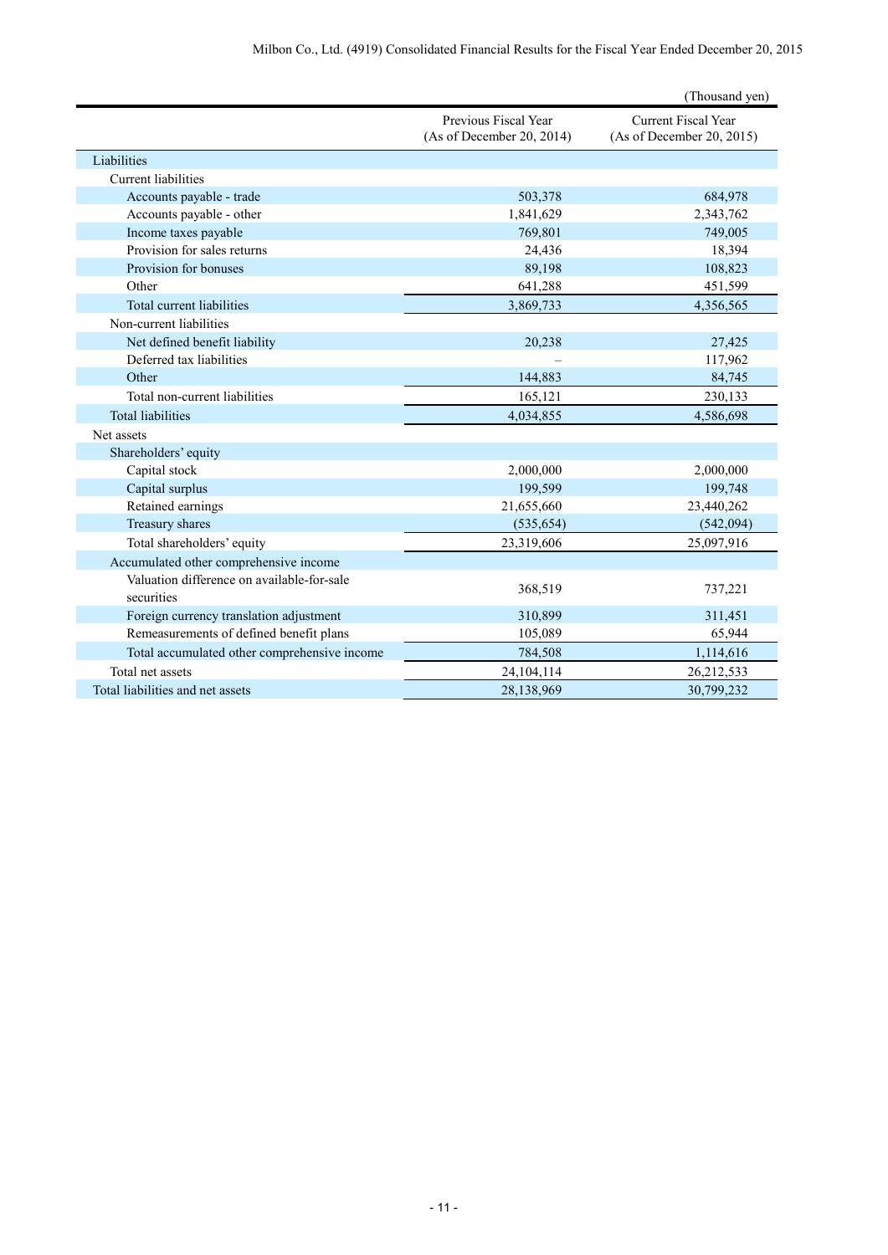|                                              |                                                   | (Thousand yen)                                          |
|----------------------------------------------|---------------------------------------------------|---------------------------------------------------------|
|                                              | Previous Fiscal Year<br>(As of December 20, 2014) | <b>Current Fiscal Year</b><br>(As of December 20, 2015) |
| Liabilities                                  |                                                   |                                                         |
| <b>Current liabilities</b>                   |                                                   |                                                         |
| Accounts payable - trade                     | 503,378                                           | 684,978                                                 |
| Accounts payable - other                     | 1,841,629                                         | 2,343,762                                               |
| Income taxes payable                         | 769.801                                           | 749,005                                                 |
| Provision for sales returns                  | 24,436                                            | 18,394                                                  |
| Provision for bonuses                        | 89,198                                            | 108,823                                                 |
| Other                                        | 641,288                                           | 451,599                                                 |
| Total current liabilities                    | 3,869,733                                         | 4,356,565                                               |
| Non-current liabilities                      |                                                   |                                                         |
| Net defined benefit liability                | 20,238                                            | 27,425                                                  |
| Deferred tax liabilities                     |                                                   | 117,962                                                 |
| Other                                        | 144,883                                           | 84,745                                                  |
| Total non-current liabilities                | 165,121                                           | 230,133                                                 |
| <b>Total liabilities</b>                     | 4,034,855                                         | 4,586,698                                               |
| Net assets                                   |                                                   |                                                         |
| Shareholders' equity                         |                                                   |                                                         |
| Capital stock                                | 2,000,000                                         | 2,000,000                                               |
| Capital surplus                              | 199,599                                           | 199,748                                                 |
| Retained earnings                            | 21,655,660                                        | 23,440,262                                              |
| Treasury shares                              | (535, 654)                                        | (542,094)                                               |
| Total shareholders' equity                   | 23,319,606                                        | 25,097,916                                              |
| Accumulated other comprehensive income       |                                                   |                                                         |
| Valuation difference on available-for-sale   |                                                   |                                                         |
| securities                                   | 368,519                                           | 737,221                                                 |
| Foreign currency translation adjustment      | 310,899                                           | 311,451                                                 |
| Remeasurements of defined benefit plans      | 105,089                                           | 65,944                                                  |
| Total accumulated other comprehensive income | 784,508                                           | 1,114,616                                               |
| Total net assets                             | 24,104,114                                        | 26,212,533                                              |
| Total liabilities and net assets             | 28,138,969                                        | 30,799,232                                              |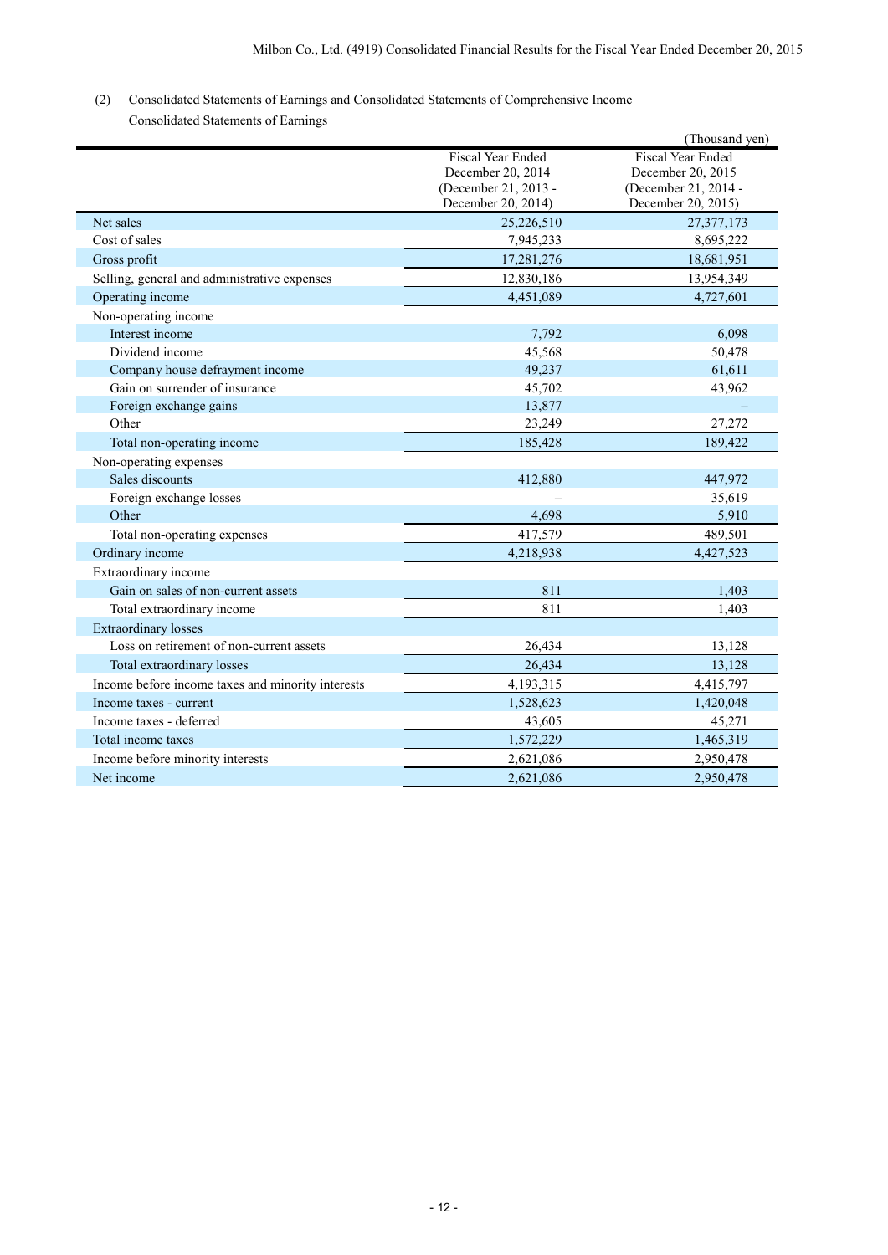# (2) Consolidated Statements of Earnings and Consolidated Statements of Comprehensive Income

| Consolidated Statements of Earnings |  |  |
|-------------------------------------|--|--|
|-------------------------------------|--|--|

|                                                   |                                                                                             | (Thousand yen)                                                                              |
|---------------------------------------------------|---------------------------------------------------------------------------------------------|---------------------------------------------------------------------------------------------|
|                                                   | <b>Fiscal Year Ended</b><br>December 20, 2014<br>(December 21, 2013 -<br>December 20, 2014) | <b>Fiscal Year Ended</b><br>December 20, 2015<br>(December 21, 2014 -<br>December 20, 2015) |
| Net sales                                         | 25,226,510                                                                                  | 27,377,173                                                                                  |
| Cost of sales                                     | 7,945,233                                                                                   | 8,695,222                                                                                   |
| Gross profit                                      | 17,281,276                                                                                  | 18,681,951                                                                                  |
| Selling, general and administrative expenses      | 12,830,186                                                                                  | 13,954,349                                                                                  |
| Operating income                                  | 4,451,089                                                                                   | 4,727,601                                                                                   |
| Non-operating income                              |                                                                                             |                                                                                             |
| Interest income                                   | 7,792                                                                                       | 6,098                                                                                       |
| Dividend income                                   | 45,568                                                                                      | 50,478                                                                                      |
| Company house defrayment income                   | 49,237                                                                                      | 61,611                                                                                      |
| Gain on surrender of insurance                    | 45,702                                                                                      | 43,962                                                                                      |
| Foreign exchange gains                            | 13,877                                                                                      |                                                                                             |
| Other                                             | 23,249                                                                                      | 27,272                                                                                      |
| Total non-operating income                        | 185,428                                                                                     | 189,422                                                                                     |
| Non-operating expenses                            |                                                                                             |                                                                                             |
| Sales discounts                                   | 412,880                                                                                     | 447,972                                                                                     |
| Foreign exchange losses                           |                                                                                             | 35,619                                                                                      |
| Other                                             | 4,698                                                                                       | 5,910                                                                                       |
| Total non-operating expenses                      | 417,579                                                                                     | 489,501                                                                                     |
| Ordinary income                                   | 4,218,938                                                                                   | 4,427,523                                                                                   |
| Extraordinary income                              |                                                                                             |                                                                                             |
| Gain on sales of non-current assets               | 811                                                                                         | 1,403                                                                                       |
| Total extraordinary income                        | 811                                                                                         | 1,403                                                                                       |
| <b>Extraordinary losses</b>                       |                                                                                             |                                                                                             |
| Loss on retirement of non-current assets          | 26,434                                                                                      | 13,128                                                                                      |
| Total extraordinary losses                        | 26,434                                                                                      | 13,128                                                                                      |
| Income before income taxes and minority interests | 4,193,315                                                                                   | 4,415,797                                                                                   |
| Income taxes - current                            | 1,528,623                                                                                   | 1,420,048                                                                                   |
| Income taxes - deferred                           | 43,605                                                                                      | 45,271                                                                                      |
| Total income taxes                                | 1,572,229                                                                                   | 1,465,319                                                                                   |
| Income before minority interests                  | 2,621,086                                                                                   | 2,950,478                                                                                   |
| Net income                                        | 2,621,086                                                                                   | 2,950,478                                                                                   |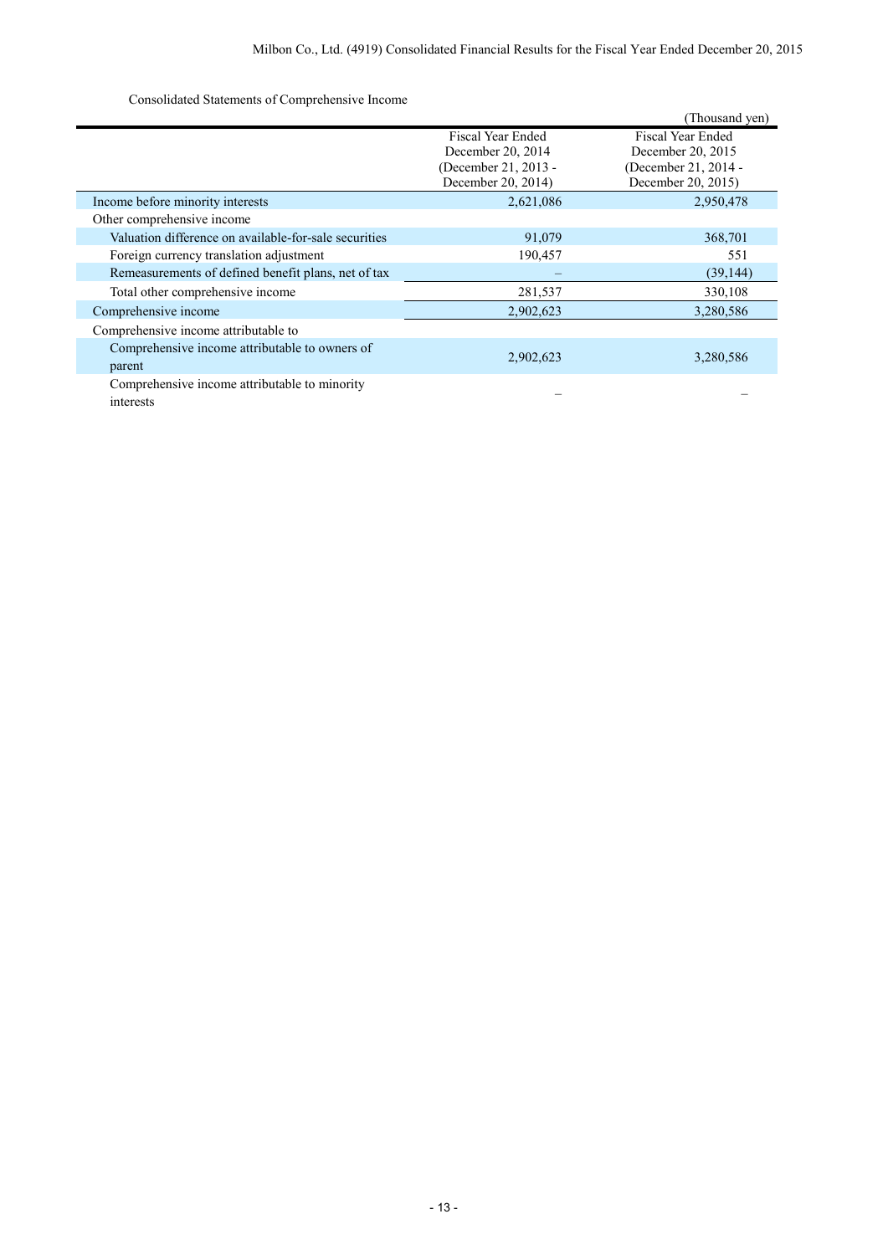Consolidated Statements of Comprehensive Income

|                                                            |                                                                                      | (Thousand yen)                                                                       |
|------------------------------------------------------------|--------------------------------------------------------------------------------------|--------------------------------------------------------------------------------------|
|                                                            | Fiscal Year Ended<br>December 20, 2014<br>(December 21, 2013 -<br>December 20, 2014) | Fiscal Year Ended<br>December 20, 2015<br>(December 21, 2014 -<br>December 20, 2015) |
| Income before minority interests                           | 2,621,086                                                                            | 2,950,478                                                                            |
| Other comprehensive income                                 |                                                                                      |                                                                                      |
| Valuation difference on available-for-sale securities      | 91,079                                                                               | 368,701                                                                              |
| Foreign currency translation adjustment                    | 190,457                                                                              | 551                                                                                  |
| Remeasurements of defined benefit plans, net of tax        |                                                                                      | (39, 144)                                                                            |
| Total other comprehensive income                           | 281,537                                                                              | 330,108                                                                              |
| Comprehensive income                                       | 2,902,623                                                                            | 3,280,586                                                                            |
| Comprehensive income attributable to                       |                                                                                      |                                                                                      |
| Comprehensive income attributable to owners of<br>parent   | 2,902,623                                                                            | 3,280,586                                                                            |
| Comprehensive income attributable to minority<br>interests |                                                                                      |                                                                                      |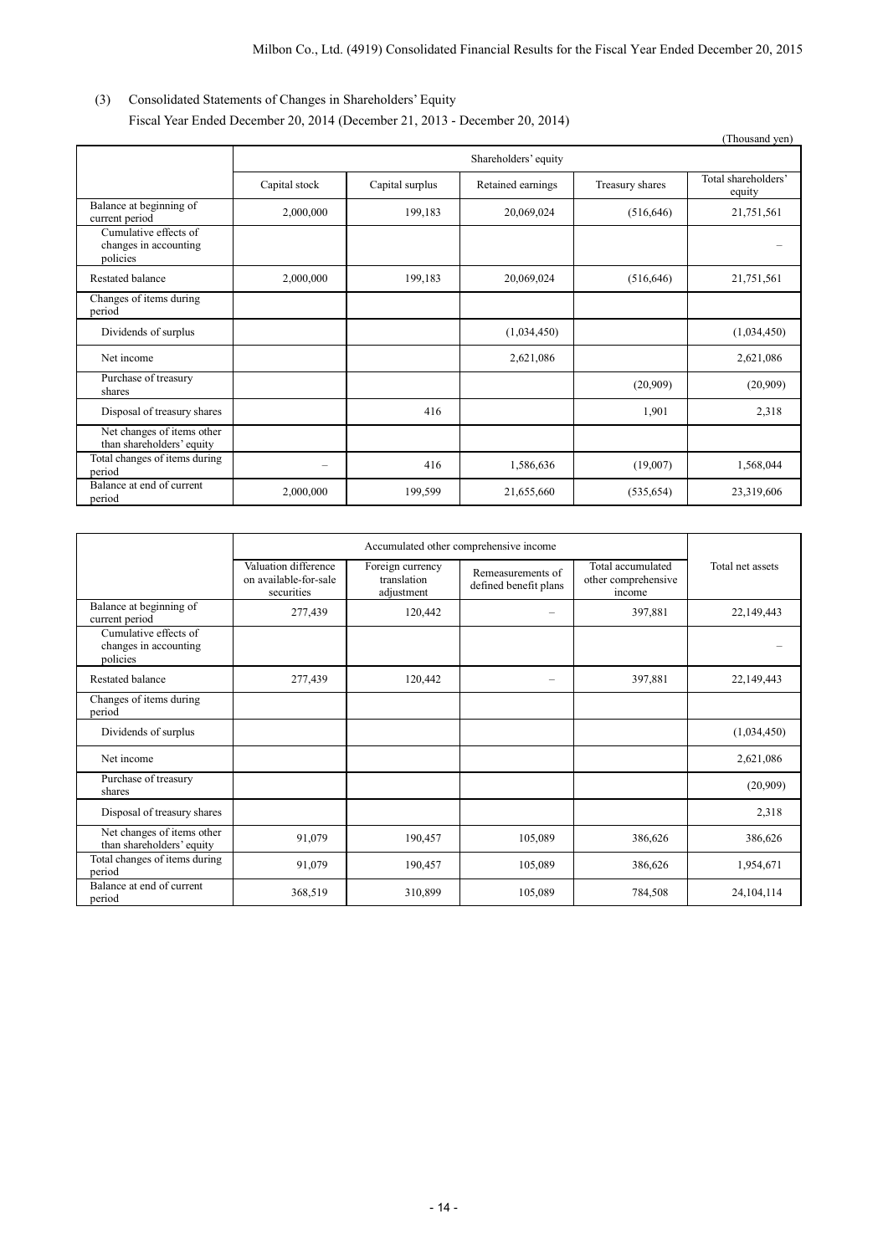## (3) Consolidated Statements of Changes in Shareholders' Equity Fiscal Year Ended December 20, 2014 (December 21, 2013 - December 20, 2014)

|                                                            |                      |                 |                   |                 | (Thousand yen)                |
|------------------------------------------------------------|----------------------|-----------------|-------------------|-----------------|-------------------------------|
|                                                            | Shareholders' equity |                 |                   |                 |                               |
|                                                            | Capital stock        | Capital surplus | Retained earnings | Treasury shares | Total shareholders'<br>equity |
| Balance at beginning of<br>current period                  | 2,000,000            | 199,183         | 20,069,024        | (516, 646)      | 21,751,561                    |
| Cumulative effects of<br>changes in accounting<br>policies |                      |                 |                   |                 |                               |
| Restated balance                                           | 2,000,000            | 199,183         | 20,069,024        | (516, 646)      | 21,751,561                    |
| Changes of items during<br>period                          |                      |                 |                   |                 |                               |
| Dividends of surplus                                       |                      |                 | (1,034,450)       |                 | (1,034,450)                   |
| Net income                                                 |                      |                 | 2,621,086         |                 | 2,621,086                     |
| Purchase of treasury<br>shares                             |                      |                 |                   | (20,909)        | (20,909)                      |
| Disposal of treasury shares                                |                      | 416             |                   | 1,901           | 2,318                         |
| Net changes of items other<br>than shareholders' equity    |                      |                 |                   |                 |                               |
| Total changes of items during<br>period                    |                      | 416             | 1,586,636         | (19,007)        | 1,568,044                     |
| Balance at end of current<br>period                        | 2,000,000            | 199,599         | 21,655,660        | (535, 654)      | 23,319,606                    |

|                                                            | Accumulated other comprehensive income                      |                                               |                                            |                                                    |                  |
|------------------------------------------------------------|-------------------------------------------------------------|-----------------------------------------------|--------------------------------------------|----------------------------------------------------|------------------|
|                                                            | Valuation difference<br>on available-for-sale<br>securities | Foreign currency<br>translation<br>adjustment | Remeasurements of<br>defined benefit plans | Total accumulated<br>other comprehensive<br>income | Total net assets |
| Balance at beginning of<br>current period                  | 277,439                                                     | 120,442                                       |                                            | 397,881                                            | 22,149,443       |
| Cumulative effects of<br>changes in accounting<br>policies |                                                             |                                               |                                            |                                                    |                  |
| Restated balance                                           | 277,439                                                     | 120,442                                       |                                            | 397,881                                            | 22,149,443       |
| Changes of items during<br>period                          |                                                             |                                               |                                            |                                                    |                  |
| Dividends of surplus                                       |                                                             |                                               |                                            |                                                    | (1,034,450)      |
| Net income                                                 |                                                             |                                               |                                            |                                                    | 2,621,086        |
| Purchase of treasury<br>shares                             |                                                             |                                               |                                            |                                                    | (20,909)         |
| Disposal of treasury shares                                |                                                             |                                               |                                            |                                                    | 2,318            |
| Net changes of items other<br>than shareholders' equity    | 91,079                                                      | 190,457                                       | 105,089                                    | 386,626                                            | 386,626          |
| Total changes of items during<br>period                    | 91,079                                                      | 190,457                                       | 105,089                                    | 386,626                                            | 1,954,671        |
| Balance at end of current<br>period                        | 368,519                                                     | 310,899                                       | 105,089                                    | 784,508                                            | 24,104,114       |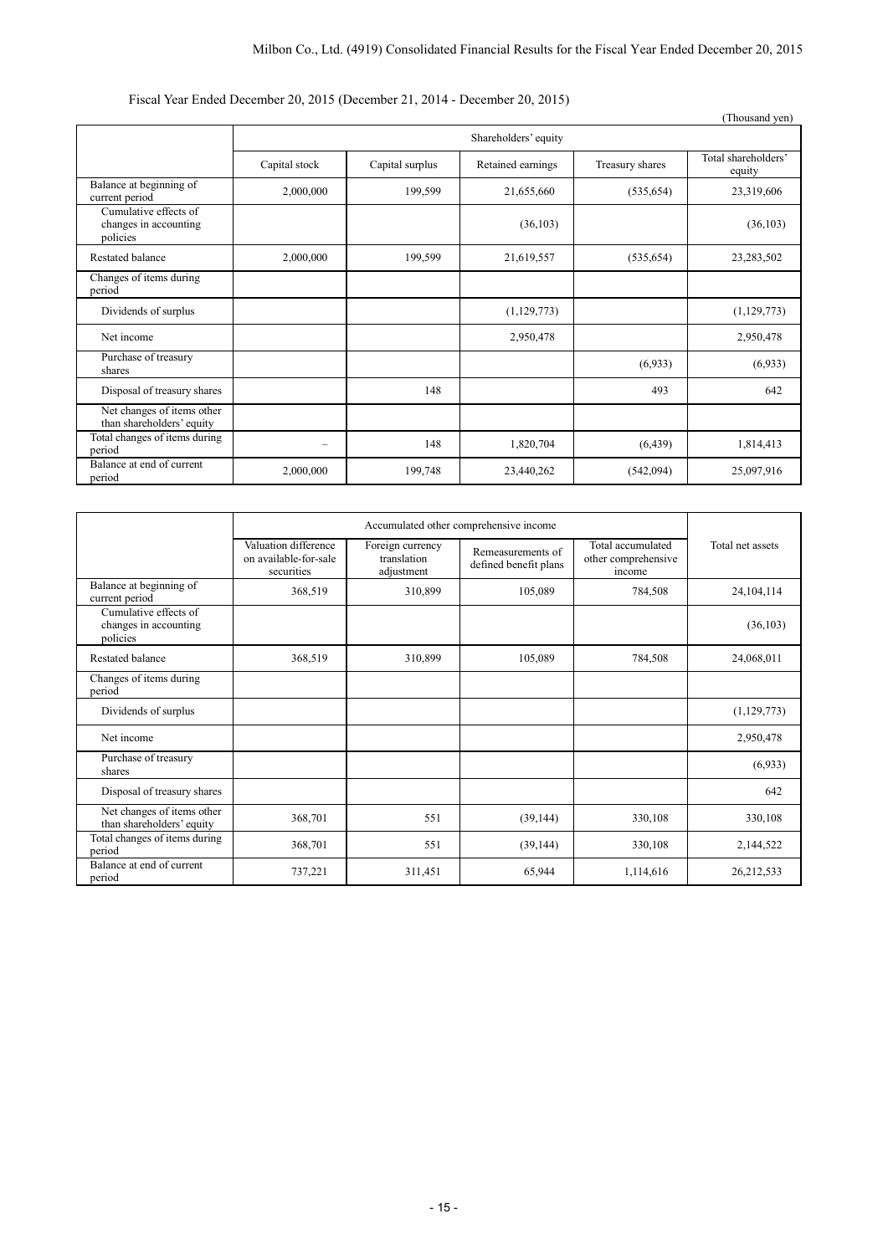## Fiscal Year Ended December 20, 2015 (December 21, 2014 - December 20, 2015)

|                                                            |                      |                 |                   |                 | (Thousand yen)                |
|------------------------------------------------------------|----------------------|-----------------|-------------------|-----------------|-------------------------------|
|                                                            | Shareholders' equity |                 |                   |                 |                               |
|                                                            | Capital stock        | Capital surplus | Retained earnings | Treasury shares | Total shareholders'<br>equity |
| Balance at beginning of<br>current period                  | 2,000,000            | 199,599         | 21,655,660        | (535, 654)      | 23,319,606                    |
| Cumulative effects of<br>changes in accounting<br>policies |                      |                 | (36, 103)         |                 | (36, 103)                     |
| Restated balance                                           | 2,000,000            | 199,599         | 21,619,557        | (535, 654)      | 23,283,502                    |
| Changes of items during<br>period                          |                      |                 |                   |                 |                               |
| Dividends of surplus                                       |                      |                 | (1,129,773)       |                 | (1,129,773)                   |
| Net income                                                 |                      |                 | 2,950,478         |                 | 2,950,478                     |
| Purchase of treasury<br>shares                             |                      |                 |                   | (6,933)         | (6,933)                       |
| Disposal of treasury shares                                |                      | 148             |                   | 493             | 642                           |
| Net changes of items other<br>than shareholders' equity    |                      |                 |                   |                 |                               |
| Total changes of items during<br>period                    | -                    | 148             | 1,820,704         | (6, 439)        | 1,814,413                     |
| Balance at end of current<br>period                        | 2,000,000            | 199,748         | 23,440,262        | (542,094)       | 25,097,916                    |

|                                                            | Accumulated other comprehensive income                      |                                               |                                            |                                                    |                  |
|------------------------------------------------------------|-------------------------------------------------------------|-----------------------------------------------|--------------------------------------------|----------------------------------------------------|------------------|
|                                                            | Valuation difference<br>on available-for-sale<br>securities | Foreign currency<br>translation<br>adjustment | Remeasurements of<br>defined benefit plans | Total accumulated<br>other comprehensive<br>income | Total net assets |
| Balance at beginning of<br>current period                  | 368,519                                                     | 310,899                                       | 105,089                                    | 784,508                                            | 24,104,114       |
| Cumulative effects of<br>changes in accounting<br>policies |                                                             |                                               |                                            |                                                    | (36, 103)        |
| Restated balance                                           | 368,519                                                     | 310,899                                       | 105,089                                    | 784,508                                            | 24,068,011       |
| Changes of items during<br>period                          |                                                             |                                               |                                            |                                                    |                  |
| Dividends of surplus                                       |                                                             |                                               |                                            |                                                    | (1, 129, 773)    |
| Net income                                                 |                                                             |                                               |                                            |                                                    | 2,950,478        |
| Purchase of treasury<br>shares                             |                                                             |                                               |                                            |                                                    | (6,933)          |
| Disposal of treasury shares                                |                                                             |                                               |                                            |                                                    | 642              |
| Net changes of items other<br>than shareholders' equity    | 368,701                                                     | 551                                           | (39, 144)                                  | 330,108                                            | 330,108          |
| Total changes of items during<br>period                    | 368,701                                                     | 551                                           | (39, 144)                                  | 330,108                                            | 2,144,522        |
| Balance at end of current<br>period                        | 737,221                                                     | 311,451                                       | 65,944                                     | 1,114,616                                          | 26,212,533       |